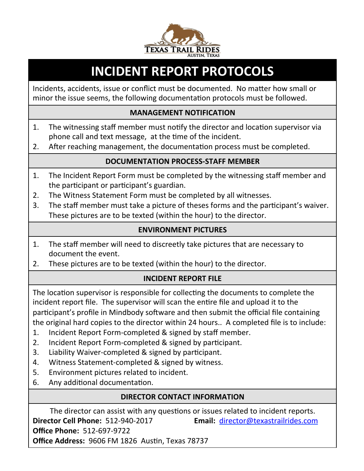

# **INCIDENT REPORT PROTOCOLS**

Incidents, accidents, issue or conflict must be documented. No matter how small or minor the issue seems, the following documentation protocols must be followed.

#### **MANAGEMENT NOTIFICATION**

- 1. The witnessing staff member must notify the director and location supervisor via phone call and text message, at the time of the incident.
- 2. After reaching management, the documentation process must be completed.

### **DOCUMENTATION PROCESS-STAFF MEMBER**

- 1. The Incident Report Form must be completed by the witnessing staff member and the participant or participant's guardian.
- 2. The Witness Statement Form must be completed by all witnesses.
- 3. The staff member must take a picture of theses forms and the participant's waiver. These pictures are to be texted (within the hour) to the director.

### **ENVIRONMENT PICTURES**

- 1. The staff member will need to discreetly take pictures that are necessary to document the event.
- 2. These pictures are to be texted (within the hour) to the director.

## **INCIDENT REPORT FILE**

The location supervisor is responsible for collecting the documents to complete the incident report file. The supervisor will scan the entire file and upload it to the participant's profile in Mindbody software and then submit the official file containing the original hard copies to the director within 24 hours.. A completed file is to include:

- 1. Incident Report Form-completed & signed by staff member.
- 2. Incident Report Form-completed & signed by participant.
- 3. Liability Waiver-completed & signed by participant.
- 4. Witness Statement-completed & signed by witness.
- 5. Environment pictures related to incident.
- 6. Any additional documentation.

## **DIRECTOR CONTACT INFORMATION**

The director can assist with any questions or issues related to incident reports. **Director Cell Phone:** 512-940-2017 **Email:** director@texastrailrides.com **Office Phone: 512-697-9722 Office Address: 9606 FM 1826 Austin, Texas 78737**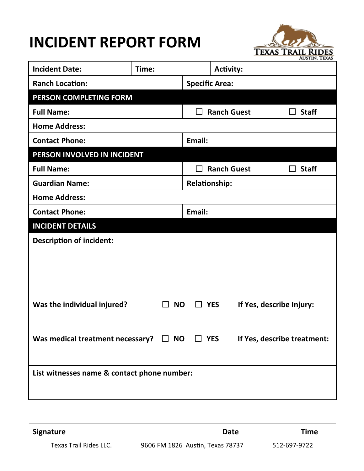# **INCIDENT REPORT FORM**



| <b>Incident Date:</b>                                 | Time:     |                       | <b>Activity:</b>   |                             |  |  |
|-------------------------------------------------------|-----------|-----------------------|--------------------|-----------------------------|--|--|
| <b>Ranch Location:</b>                                |           | <b>Specific Area:</b> |                    |                             |  |  |
| PERSON COMPLETING FORM                                |           |                       |                    |                             |  |  |
| <b>Full Name:</b>                                     |           |                       | <b>Ranch Guest</b> | <b>Staff</b>                |  |  |
| <b>Home Address:</b>                                  |           |                       |                    |                             |  |  |
| <b>Contact Phone:</b>                                 |           | Email:                |                    |                             |  |  |
| PERSON INVOLVED IN INCIDENT                           |           |                       |                    |                             |  |  |
| <b>Full Name:</b>                                     |           |                       | <b>Ranch Guest</b> | <b>Staff</b>                |  |  |
| <b>Guardian Name:</b>                                 |           | <b>Relationship:</b>  |                    |                             |  |  |
| <b>Home Address:</b>                                  |           |                       |                    |                             |  |  |
| <b>Contact Phone:</b>                                 |           | Email:                |                    |                             |  |  |
| <b>INCIDENT DETAILS</b>                               |           |                       |                    |                             |  |  |
| <b>Description of incident:</b>                       |           |                       |                    |                             |  |  |
|                                                       |           |                       |                    |                             |  |  |
|                                                       |           |                       |                    |                             |  |  |
|                                                       |           |                       |                    |                             |  |  |
| Was the individual injured?                           | <b>NO</b> | П                     | <b>YES</b>         | If Yes, describe Injury:    |  |  |
|                                                       |           |                       |                    |                             |  |  |
|                                                       |           |                       |                    |                             |  |  |
| Was medical treatment necessary? $\Box$ NO $\Box$ YES |           |                       |                    | If Yes, describe treatment: |  |  |
|                                                       |           |                       |                    |                             |  |  |
| List witnesses name & contact phone number:           |           |                       |                    |                             |  |  |
|                                                       |           |                       |                    |                             |  |  |
|                                                       |           |                       |                    |                             |  |  |